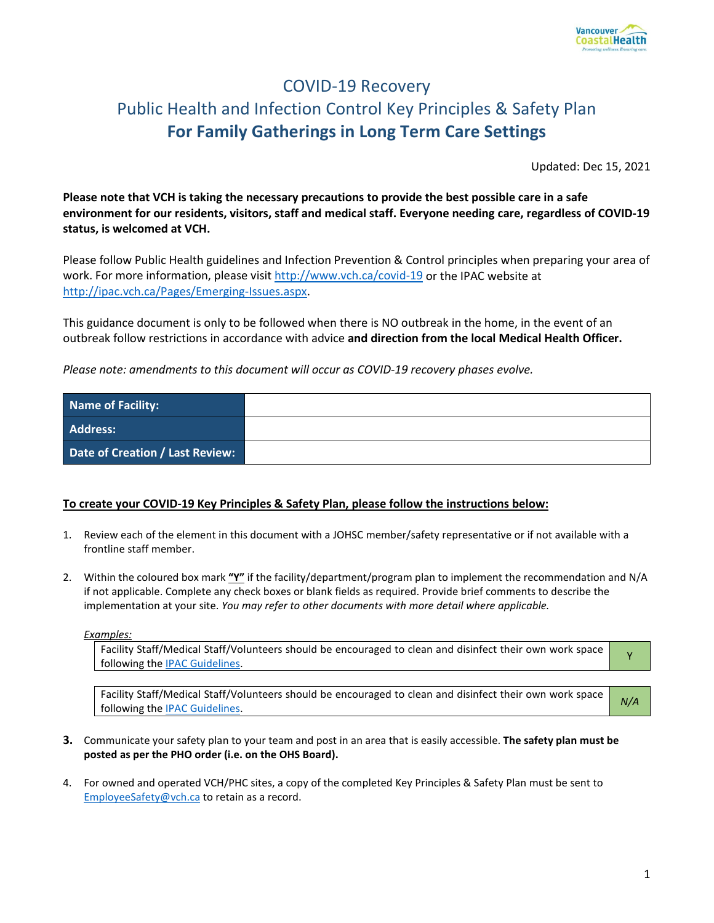

# COVID-19 Recovery Public Health and Infection Control Key Principles & Safety Plan **For Family Gatherings in Long Term Care Settings**

Updated: Dec 15, 2021

**Please note that VCH is taking the necessary precautions to provide the best possible care in a safe environment for our residents, visitors, staff and medical staff. Everyone needing care, regardless of COVID-19 status, is welcomed at VCH.** 

Please follow Public Health guidelines and Infection Prevention & Control principles when preparing your area of work. For more information, please visi[t http://www.vch.ca/covid-19](http://www.vch.ca/covid-19) or the IPAC website at [http://ipac.vch.ca/Pages/Emerging-Issues.aspx.](http://ipac.vch.ca/Pages/Emerging-Issues.aspx)

This guidance document is only to be followed when there is NO outbreak in the home, in the event of an outbreak follow restrictions in accordance with advice **and direction from the local Medical Health Officer.**

*Please note: amendments to this document will occur as COVID-19 recovery phases evolve.* 

| Name of Facility:               |  |
|---------------------------------|--|
| <b>Address:</b>                 |  |
| Date of Creation / Last Review: |  |

#### **To create your COVID-19 Key Principles & Safety Plan, please follow the instructions below:**

- 1. Review each of the element in this document with a JOHSC member/safety representative or if not available with a frontline staff member.
- 2. Within the coloured box mark **"Y"** if the facility/department/program plan to implement the recommendation and N/A if not applicable. Complete any check boxes or blank fields as required. Provide brief comments to describe the implementation at your site. *You may refer to other documents with more detail where applicable.*

*Examples:* 

Facility Staff/Medical Staff/Volunteers should be encouraged to clean and disinfect their own work space Factury start/wiedical start/volunteers should be encouraged to clean and distinct their own work space values

Facility Staff/Medical Staff/Volunteers should be encouraged to clean and disinfect their own work space **M/A**<br>following the <u>IPAC Guidelines</u>.

- **3.** Communicate your safety plan to your team and post in an area that is easily accessible. **The safety plan must be posted as per the PHO order (i.e. on the OHS Board).**
- 4. For owned and operated VCH/PHC sites, a copy of the completed Key Principles & Safety Plan must be sent to [EmployeeSafety@vch.ca](mailto:EmployeeSafety@vch.ca?subject=Key%20Principles%20&%20Safety%20Plan%20) to retain as a record.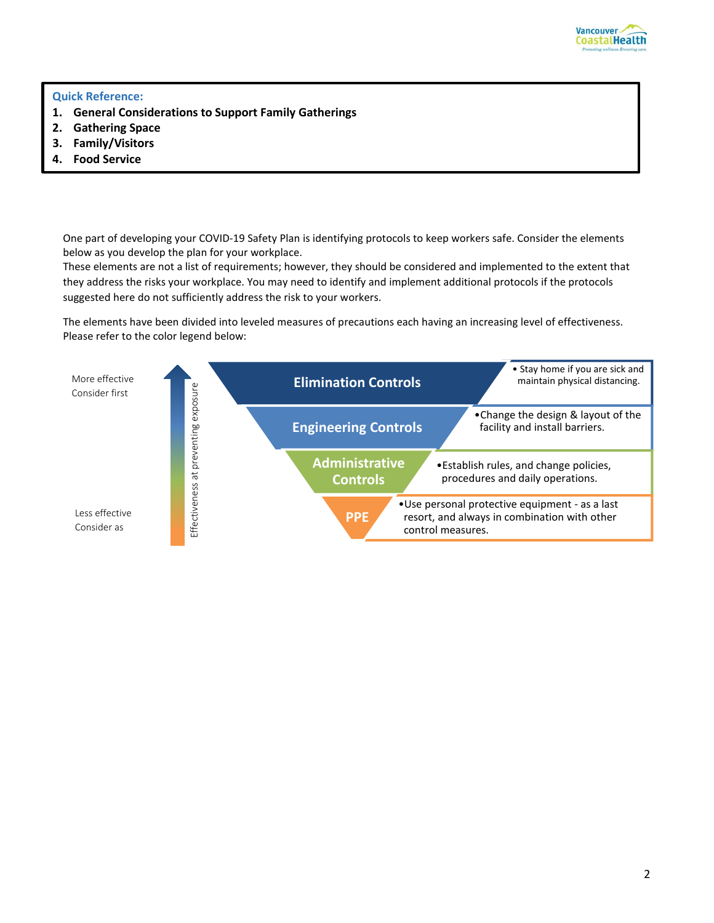

#### **Quick Reference:**

- **1. General Considerations to Support Family Gatherings**
- **2. Gathering Space**
- **3. Family/Visitors**
- **4. Food Service**

One part of developing your COVID-19 Safety Plan is identifying protocols to keep workers safe. Consider the elements below as you develop the plan for your workplace.

These elements are not a list of requirements; however, they should be considered and implemented to the extent that they address the risks your workplace. You may need to identify and implement additional protocols if the protocols suggested here do not sufficiently address the risk to your workers.

The elements have been divided into leveled measures of precautions each having an increasing level of effectiveness. Please refer to the color legend below:

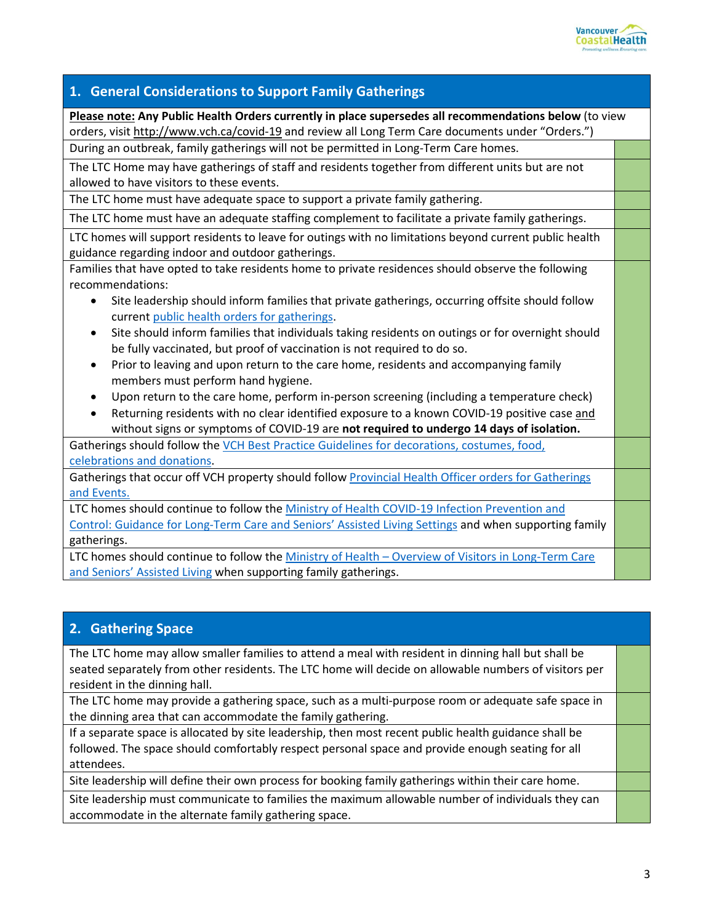

### **1. General Considerations to Support Family Gatherings**

**Please note: Any Public Health Orders currently in place supersedes all recommendations below** (to view orders, visi[t http://www.vch.ca/covid-19](http://www.vch.ca/covid-19) and review all Long Term Care documents under "Orders.")

During an outbreak, family gatherings will not be permitted in Long-Term Care homes.

The LTC Home may have gatherings of staff and residents together from different units but are not allowed to have visitors to these events.

The LTC home must have adequate space to support a private family gathering.

The LTC home must have an adequate staffing complement to facilitate a private family gatherings.

LTC homes will support residents to leave for outings with no limitations beyond current public health guidance regarding indoor and outdoor gatherings.

Families that have opted to take residents home to private residences should observe the following recommendations:

- Site leadership should inform families that private gatherings, occurring offsite should follow current [public health orders for gatherings.](https://www2.gov.bc.ca/assets/gov/health/about-bc-s-health-care-system/office-of-the-provincial-health-officer/covid-19/covid-19-pho-order-gatherings-events.pdf)
- Site should inform families that individuals taking residents on outings or for overnight should be fully vaccinated, but proof of vaccination is not required to do so.
- Prior to leaving and upon return to the care home, residents and accompanying family members must perform hand hygiene.
- Upon return to the care home, perform in-person screening (including a temperature check)
- Returning residents with no clear identified exposure to a known COVID-19 positive case and without signs or symptoms of COVID-19 are **not required to undergo 14 days of isolation.**

Gatherings should follow the [VCH Best Practice Guidelines for decorations, costumes, food,](http://ipac.vch.ca/Documents/Acute%20Resource%20manual/Holiday%20Decorations.pdf)  [celebrations and donations.](http://ipac.vch.ca/Documents/Acute%20Resource%20manual/Holiday%20Decorations.pdf)

Gatherings that occur off VCH property should follow [Provincial Health Officer orders for Gatherings](http://www.vch.ca/covid-1https:/www2.gov.bc.ca/assets/gov/health/about-bc-s-health-care-system/office-of-the-provincial-health-officer/covid-19/covid-19-pho-order-gatherings-events.pdf)  [and Events.](http://www.vch.ca/covid-1https:/www2.gov.bc.ca/assets/gov/health/about-bc-s-health-care-system/office-of-the-provincial-health-officer/covid-19/covid-19-pho-order-gatherings-events.pdf)

LTC homes should continue to follow the [Ministry of Health COVID-19 Infection Prevention and](http://www.bccdc.ca/Health-Info-Site/Documents/COVID19_LongTermCareAssistedLiving.pdf)  [Control: Guidance for Long-Term Care and Seniors' Assisted Living Settings](http://www.bccdc.ca/Health-Info-Site/Documents/COVID19_LongTermCareAssistedLiving.pdf) and when supporting family gatherings.

LTC homes should continue to follow the Ministry of Health – [Overview of Visitors in Long-Term Care](http://www.bccdc.ca/Health-Info-Site/Documents/Visitors_Long-Term_Care_Seniors_Assisted_Living.pdf)  [and Seniors' Assisted Living](http://www.bccdc.ca/Health-Info-Site/Documents/Visitors_Long-Term_Care_Seniors_Assisted_Living.pdf) when supporting family gatherings.

### **2. Gathering Space**

The LTC home may allow smaller families to attend a meal with resident in dinning hall but shall be seated separately from other residents. The LTC home will decide on allowable numbers of visitors per resident in the dinning hall.

The LTC home may provide a gathering space, such as a multi-purpose room or adequate safe space in the dinning area that can accommodate the family gathering.

If a separate space is allocated by site leadership, then most recent public health guidance shall be followed. The space should comfortably respect personal space and provide enough seating for all attendees.

Site leadership will define their own process for booking family gatherings within their care home.

Site leadership must communicate to families the maximum allowable number of individuals they can accommodate in the alternate family gathering space.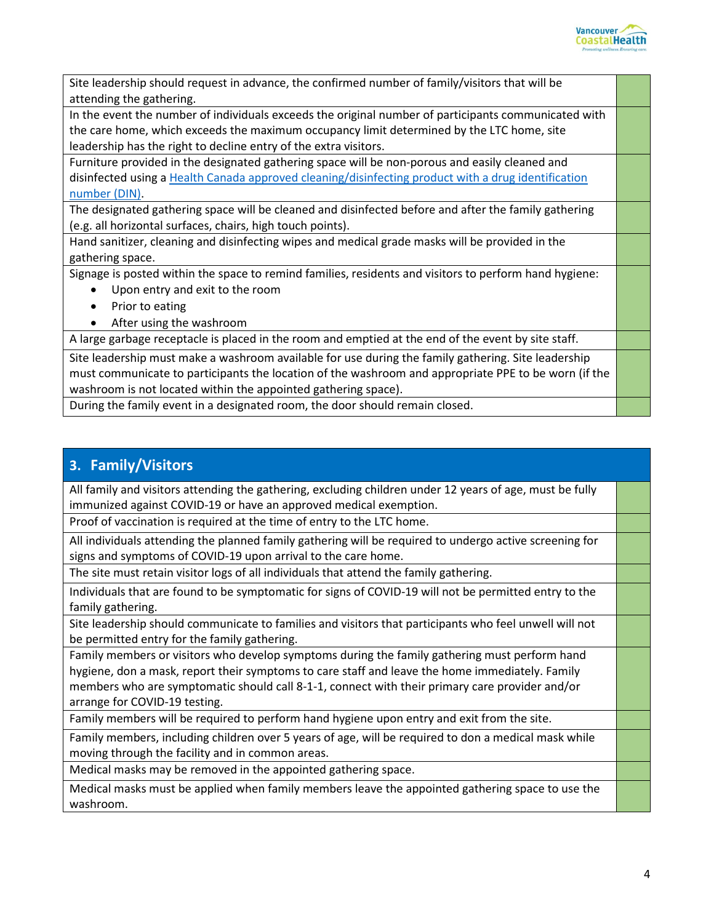

Site leadership should request in advance, the confirmed number of family/visitors that will be attending the gathering. In the event the number of individuals exceeds the original number of participants communicated with the care home, which exceeds the maximum occupancy limit determined by the LTC home, site leadership has the right to decline entry of the extra visitors. Furniture provided in the designated gathering space will be non-porous and easily cleaned and disinfected using a [Health Canada approved cleaning/disinfecting product with a drug identification](https://www.canada.ca/en/health-canada/services/drugs-health-products/disinfectants/covid-19/list.html)  [number \(DIN\).](https://www.canada.ca/en/health-canada/services/drugs-health-products/disinfectants/covid-19/list.html) The designated gathering space will be cleaned and disinfected before and after the family gathering (e.g. all horizontal surfaces, chairs, high touch points). Hand sanitizer, cleaning and disinfecting wipes and medical grade masks will be provided in the gathering space. Signage is posted within the space to remind families, residents and visitors to perform hand hygiene: • Upon entry and exit to the room • Prior to eating • After using the washroom A large garbage receptacle is placed in the room and emptied at the end of the event by site staff. Site leadership must make a washroom available for use during the family gathering. Site leadership must communicate to participants the location of the washroom and appropriate PPE to be worn (if the washroom is not located within the appointed gathering space).

During the family event in a designated room, the door should remain closed.

## **3. Family/Visitors**

All family and visitors attending the gathering, excluding children under 12 years of age, must be fully immunized against COVID-19 or have an approved medical exemption.

Proof of vaccination is required at the time of entry to the LTC home.

All individuals attending the planned family gathering will be required to undergo active screening for signs and symptoms of COVID-19 upon arrival to the care home.

The site must retain visitor logs of all individuals that attend the family gathering.

Individuals that are found to be symptomatic for signs of COVID-19 will not be permitted entry to the family gathering.

Site leadership should communicate to families and visitors that participants who feel unwell will not be permitted entry for the family gathering.

Family members or visitors who develop symptoms during the family gathering must perform hand hygiene, don a mask, report their symptoms to care staff and leave the home immediately. Family members who are symptomatic should call 8-1-1, connect with their primary care provider and/or arrange for COVID-19 testing.

Family members will be required to perform hand hygiene upon entry and exit from the site.

Family members, including children over 5 years of age, will be required to don a medical mask while moving through the facility and in common areas.

Medical masks may be removed in the appointed gathering space.

Medical masks must be applied when family members leave the appointed gathering space to use the washroom.